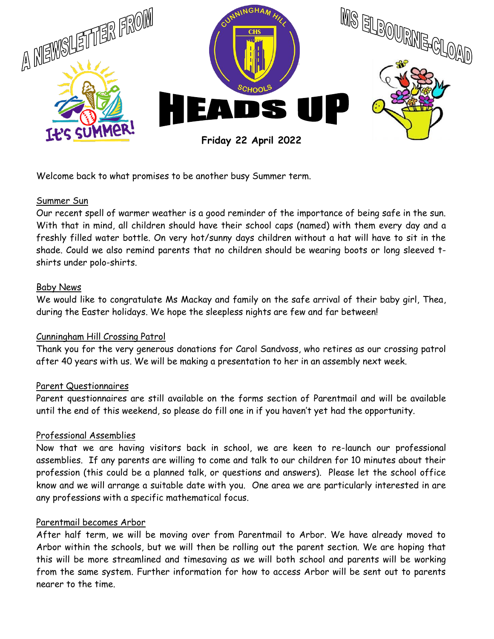

Welcome back to what promises to be another busy Summer term.

### Summer Sun

Our recent spell of warmer weather is a good reminder of the importance of being safe in the sun. With that in mind, all children should have their school caps (named) with them every day and a freshly filled water bottle. On very hot/sunny days children without a hat will have to sit in the shade. Could we also remind parents that no children should be wearing boots or long sleeved tshirts under polo-shirts.

#### Baby News

We would like to congratulate Ms Mackay and family on the safe arrival of their baby girl, Thea, during the Easter holidays. We hope the sleepless nights are few and far between!

### Cunningham Hill Crossing Patrol

Thank you for the very generous donations for Carol Sandvoss, who retires as our crossing patrol after 40 years with us. We will be making a presentation to her in an assembly next week.

### Parent Questionnaires

Parent questionnaires are still available on the forms section of Parentmail and will be available until the end of this weekend, so please do fill one in if you haven't yet had the opportunity.

### Professional Assemblies

Now that we are having visitors back in school, we are keen to re-launch our professional assemblies. If any parents are willing to come and talk to our children for 10 minutes about their profession (this could be a planned talk, or questions and answers). Please let the school office know and we will arrange a suitable date with you. One area we are particularly interested in are any professions with a specific mathematical focus.

### Parentmail becomes Arbor

After half term, we will be moving over from Parentmail to Arbor. We have already moved to Arbor within the schools, but we will then be rolling out the parent section. We are hoping that this will be more streamlined and timesaving as we will both school and parents will be working from the same system. Further information for how to access Arbor will be sent out to parents nearer to the time.